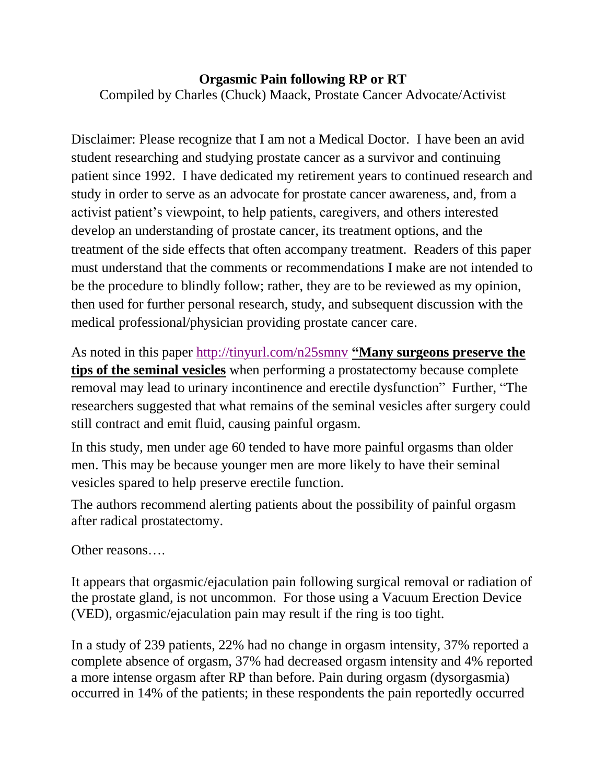#### **Orgasmic Pain following RP or RT**

Compiled by Charles (Chuck) Maack, Prostate Cancer Advocate/Activist

Disclaimer: Please recognize that I am not a Medical Doctor. I have been an avid student researching and studying prostate cancer as a survivor and continuing patient since 1992. I have dedicated my retirement years to continued research and study in order to serve as an advocate for prostate cancer awareness, and, from a activist patient's viewpoint, to help patients, caregivers, and others interested develop an understanding of prostate cancer, its treatment options, and the treatment of the side effects that often accompany treatment. Readers of this paper must understand that the comments or recommendations I make are not intended to be the procedure to blindly follow; rather, they are to be reviewed as my opinion, then used for further personal research, study, and subsequent discussion with the medical professional/physician providing prostate cancer care.

As noted in this paper http://tinyurl.com/n25smny "Many surgeons preserve the **tips of the seminal vesicles** when performing a prostatectomy because complete removal may lead to urinary incontinence and erectile dysfunction" Further, "The researchers suggested that what remains of the seminal vesicles after surgery could still contract and emit fluid, causing painful orgasm.

In this study, men under age 60 tended to have more painful orgasms than older men. This may be because younger men are more likely to have their seminal vesicles spared to help preserve erectile function.

The authors recommend alerting patients about the possibility of painful orgasm after radical [prostatectomy.](http://www.issm.info/news/sex-health-headlines/nerve-sparing-prostate-surgery-orgasm/)

Other reasons….

It appears that orgasmic/ejaculation pain following surgical removal or radiation of the prostate gland, is not uncommon. For those using a Vacuum Erection Device (VED), orgasmic/ejaculation pain may result if the ring is too tight.

In a study of 239 patients, 22% had no change in orgasm intensity, 37% reported a complete absence of orgasm, 37% had decreased orgasm intensity and 4% reported a more intense orgasm after RP than before. Pain during orgasm (dysorgasmia) occurred in 14% of the patients; in these respondents the pain reportedly occurred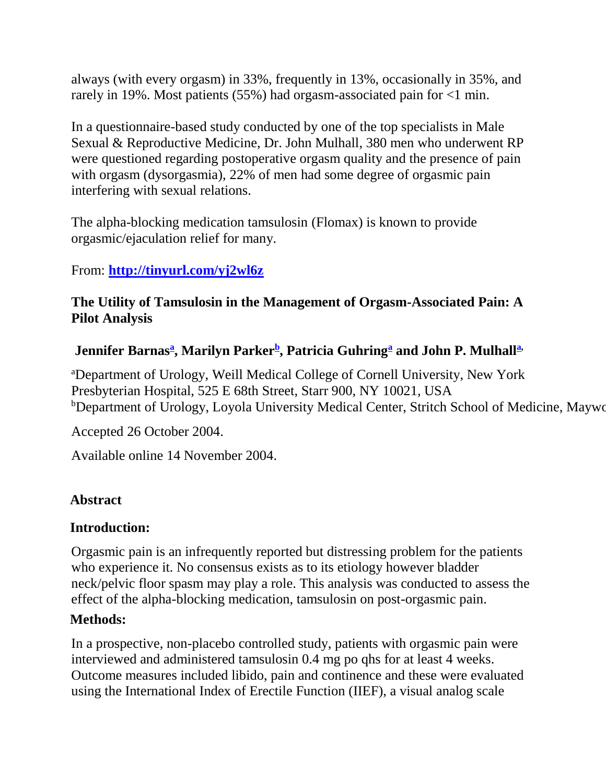always (with every orgasm) in 33%, frequently in 13%, occasionally in 35%, and rarely in 19%. Most patients (55%) had orgasm-associated pain for <1 min.

In a questionnaire-based study conducted by one of the top specialists in Male Sexual & Reproductive Medicine, Dr. John Mulhall, 380 men who underwent RP were questioned regarding postoperative orgasm quality and the presence of pain with orgasm (dysorgasmia), 22% of men had some degree of orgasmic pain interfering with sexual relations.

The alpha-blocking medication tamsulosin (Flomax) is known to provide orgasmic/ejaculation relief for many.

### From: **<http://tinyurl.com/yj2wl6z>**

#### **The Utility of Tamsulosin in the Management of Orgasm-Associated Pain: A Pilot Analysis**

#### **Jennifer Barnas[a](http://www.sciencedirect.com/science?_ob=ArticleURL&_udi=B6X10-4DT2HGH-1&_user=10&_coverDate=03%2F31%2F2005&_rdoc=1&_fmt=high&_orig=search&_sort=d&_docanchor=&view=c&_searchStrId=1236217719&_rerunOrigin=google&_acct=C000050221&_version=1&_urlVersion=0&_userid=10&md5=06cbbf7ec3b27c8567bbf38f90d3c78a#aff1) , Marilyn Parker[b](http://www.sciencedirect.com/science?_ob=ArticleURL&_udi=B6X10-4DT2HGH-1&_user=10&_coverDate=03%2F31%2F2005&_rdoc=1&_fmt=high&_orig=search&_sort=d&_docanchor=&view=c&_searchStrId=1236217719&_rerunOrigin=google&_acct=C000050221&_version=1&_urlVersion=0&_userid=10&md5=06cbbf7ec3b27c8567bbf38f90d3c78a#aff2) , Patricia Guhring[a](http://www.sciencedirect.com/science?_ob=ArticleURL&_udi=B6X10-4DT2HGH-1&_user=10&_coverDate=03%2F31%2F2005&_rdoc=1&_fmt=high&_orig=search&_sort=d&_docanchor=&view=c&_searchStrId=1236217719&_rerunOrigin=google&_acct=C000050221&_version=1&_urlVersion=0&_userid=10&md5=06cbbf7ec3b27c8567bbf38f90d3c78a#aff1) and John P. Mulhall[a,](http://www.sciencedirect.com/science?_ob=ArticleURL&_udi=B6X10-4DT2HGH-1&_user=10&_coverDate=03%2F31%2F2005&_rdoc=1&_fmt=high&_orig=search&_sort=d&_docanchor=&view=c&_searchStrId=1236217719&_rerunOrigin=google&_acct=C000050221&_version=1&_urlVersion=0&_userid=10&md5=06cbbf7ec3b27c8567bbf38f90d3c78a#aff1)**

<sup>a</sup>Department of Urology, Weill Medical College of Cornell University, New York Presbyterian Hospital, 525 E 68th Street, Starr 900, NY 10021, USA <sup>b</sup>Department of Urology, Loyola University Medical Center, Stritch School of Medicine, Maywo

Accepted 26 October 2004.

Available online 14 November 2004.

## **Abstract**

#### **Introduction:**

Orgasmic pain is an infrequently reported but distressing problem for the patients who experience it. No consensus exists as to its etiology however bladder neck/pelvic floor spasm may play a role. This analysis was conducted to assess the effect of the alpha-blocking medication, tamsulosin on post-orgasmic pain.

#### **Methods:**

In a prospective, non-placebo controlled study, patients with orgasmic pain were interviewed and administered tamsulosin 0.4 mg po qhs for at least 4 weeks. Outcome measures included libido, pain and continence and these were evaluated using the International Index of Erectile Function (IIEF), a visual analog scale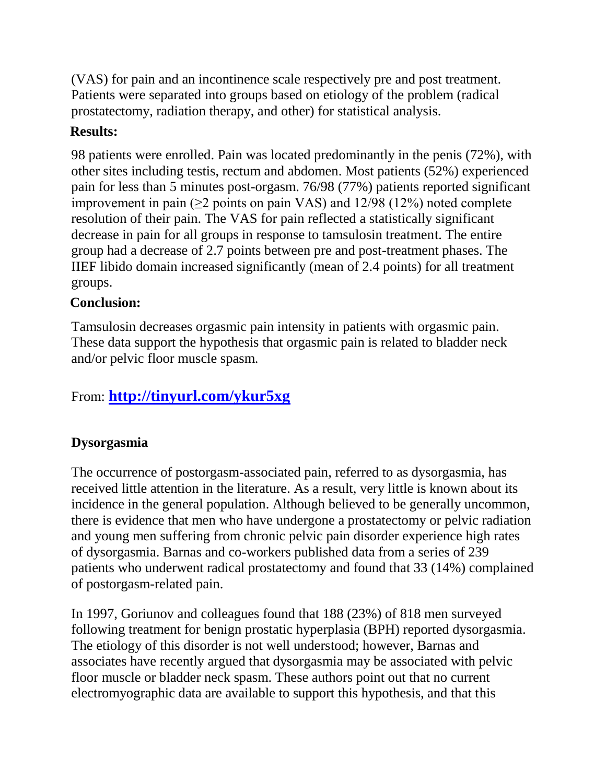(VAS) for pain and an incontinence scale respectively pre and post treatment. Patients were separated into groups based on etiology of the problem (radical prostatectomy, radiation therapy, and other) for statistical analysis.

### **Results:**

98 patients were enrolled. Pain was located predominantly in the penis (72%), with other sites including testis, rectum and abdomen. Most patients (52%) experienced pain for less than 5 minutes post-orgasm. 76/98 (77%) patients reported significant improvement in pain  $(\geq 2$  points on pain VAS) and 12/98 (12%) noted complete resolution of their pain. The VAS for pain reflected a statistically significant decrease in pain for all groups in response to tamsulosin treatment. The entire group had a decrease of 2.7 points between pre and post-treatment phases. The IIEF libido domain increased significantly (mean of 2.4 points) for all treatment groups.

#### **Conclusion:**

Tamsulosin decreases orgasmic pain intensity in patients with orgasmic pain. These data support the hypothesis that orgasmic pain is related to bladder neck and/or pelvic floor muscle spasm.

# From: **<http://tinyurl.com/ykur5xg>**

#### **Dysorgasmia**

The occurrence of postorgasm-associated pain, referred to as dysorgasmia, has received little attention in the literature. As a result, very little is known about its incidence in the general population. Although believed to be generally uncommon, there is evidence that men who have undergone a prostatectomy or pelvic radiation and young men suffering from chronic pelvic pain disorder experience high rates of dysorgasmia. Barnas and co-workers published data from a series of 239 patients who underwent radical prostatectomy and found that 33 (14%) complained of postorgasm-related pain.

In 1997, Goriunov and colleagues found that 188 (23%) of 818 men surveyed following treatment for benign prostatic hyperplasia (BPH) reported dysorgasmia. The etiology of this disorder is not well understood; however, Barnas and associates have recently argued that dysorgasmia may be associated with pelvic floor muscle or bladder neck spasm. These authors point out that no current electromyographic data are available to support this hypothesis, and that this